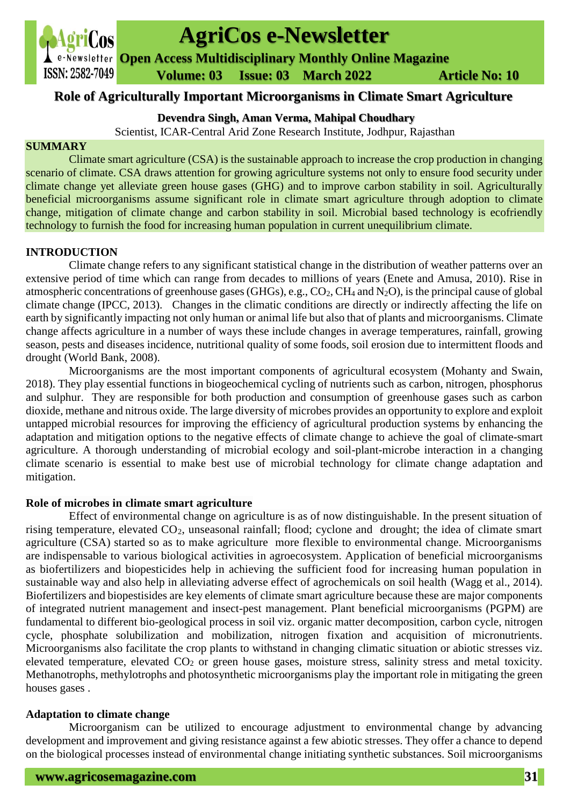

# **AgriCos e-Newsletter**

**Open Access Multidisciplinary Monthly Online Magazine**

 **ISSN: 2582-7049 Volume: 03 Issue: 03 March 2022 Article No: 10** 

# **Role of Agriculturally Important Microorganisms in Climate Smart Agriculture**

# **Devendra Singh, Aman Verma, Mahipal Choudhary**

Scientist, ICAR-Central Arid Zone Research Institute, Jodhpur, Rajasthan

# **SUMMARY**

Climate smart agriculture (CSA) is the sustainable approach to increase the crop production in changing scenario of climate. CSA draws attention for growing agriculture systems not only to ensure food security under climate change yet alleviate green house gases (GHG) and to improve carbon stability in soil. Agriculturally beneficial microorganisms assume significant role in climate smart agriculture through adoption to climate change, mitigation of climate change and carbon stability in soil. Microbial based technology is ecofriendly technology to furnish the food for increasing human population in current unequilibrium climate.

# **INTRODUCTION**

Climate change refers to any significant statistical change in the distribution of weather patterns over an extensive period of time which can range from decades to millions of years (Enete and Amusa, 2010). Rise in atmospheric concentrations of greenhouse gases (GHGs), e.g.,  $CO_2$ ,  $CH_4$  and  $N_2O$ ), is the principal cause of global climate change (IPCC, 2013). Changes in the climatic conditions are directly or indirectly affecting the life on earth by significantly impacting not only human or animal life but also that of plants and microorganisms. Climate change affects agriculture in a number of ways these include changes in average temperatures, rainfall, growing season, pests and diseases incidence, nutritional quality of some foods, soil erosion due to intermittent floods and drought (World Bank, 2008).

Microorganisms are the most important components of agricultural ecosystem (Mohanty and Swain, 2018). They play essential functions in biogeochemical cycling of nutrients such as carbon, nitrogen, phosphorus and sulphur. They are responsible for both production and consumption of greenhouse gases such as carbon dioxide, methane and nitrous oxide. The large diversity of microbes provides an opportunity to explore and exploit untapped microbial resources for improving the efficiency of agricultural production systems by enhancing the adaptation and mitigation options to the negative effects of climate change to achieve the goal of climate-smart agriculture. A thorough understanding of microbial ecology and soil-plant-microbe interaction in a changing climate scenario is essential to make best use of microbial technology for climate change adaptation and mitigation.

# **Role of microbes in climate smart agriculture**

Effect of environmental change on agriculture is as of now distinguishable. In the present situation of rising temperature, elevated CO2, unseasonal rainfall; flood; cyclone and drought; the idea of climate smart agriculture (CSA) started so as to make agriculture more flexible to environmental change. Microorganisms are indispensable to various biological activities in agroecosystem. Application of beneficial microorganisms as biofertilizers and biopesticides help in achieving the sufficient food for increasing human population in sustainable way and also help in alleviating adverse effect of agrochemicals on soil health (Wagg et al., 2014). Biofertilizers and biopestisides are key elements of climate smart agriculture because these are major components of integrated nutrient management and insect-pest management. Plant beneficial microorganisms (PGPM) are fundamental to different bio-geological process in soil viz. organic matter decomposition, carbon cycle, nitrogen cycle, phosphate solubilization and mobilization, nitrogen fixation and acquisition of micronutrients. Microorganisms also facilitate the crop plants to withstand in changing climatic situation or abiotic stresses viz. elevated temperature, elevated CO<sub>2</sub> or green house gases, moisture stress, salinity stress and metal toxicity. Methanotrophs, methylotrophs and photosynthetic microorganisms play the important role in mitigating the green houses gases .

# **Adaptation to climate change**

Microorganism can be utilized to encourage adjustment to environmental change by advancing development and improvement and giving resistance against a few abiotic stresses. They offer a chance to depend on the biological processes instead of environmental change initiating synthetic substances. Soil microorganisms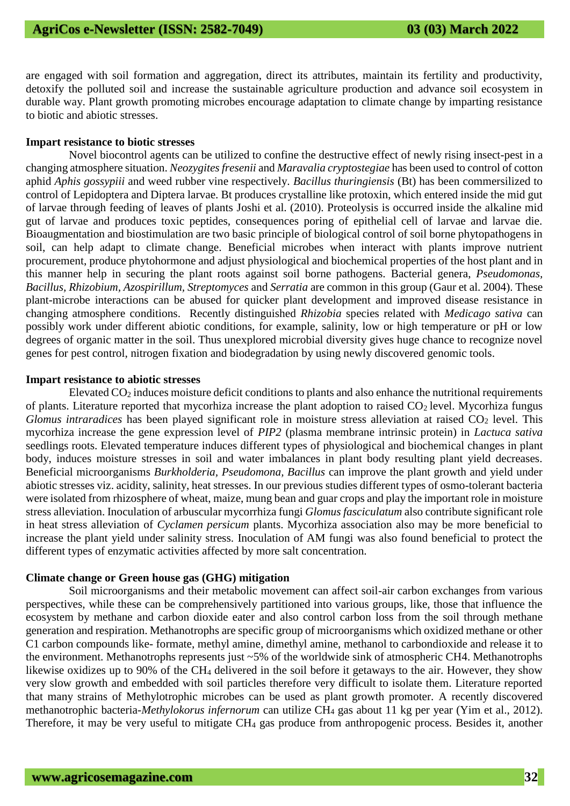are engaged with soil formation and aggregation, direct its attributes, maintain its fertility and productivity, detoxify the polluted soil and increase the sustainable agriculture production and advance soil ecosystem in durable way. Plant growth promoting microbes encourage adaptation to climate change by imparting resistance to biotic and abiotic stresses.

#### **Impart resistance to biotic stresses**

Novel biocontrol agents can be utilized to confine the destructive effect of newly rising insect-pest in a changing atmosphere situation. *Neozygites fresenii* and *Maravalia cryptostegiae* has been used to control of cotton aphid *Aphis gossypiii* and weed rubber vine respectively. *Bacillus thuringiensis* (Bt) has been commersilized to control of Lepidoptera and Diptera larvae. Bt produces crystalline like protoxin, which entered inside the mid gut of larvae through feeding of leaves of plants Joshi et al. (2010). Proteolysis is occurred inside the alkaline mid gut of larvae and produces toxic peptides, consequences poring of epithelial cell of larvae and larvae die. Bioaugmentation and biostimulation are two basic principle of biological control of soil borne phytopathogens in soil, can help adapt to climate change. Beneficial microbes when interact with plants improve nutrient procurement, produce phytohormone and adjust physiological and biochemical properties of the host plant and in this manner help in securing the plant roots against soil borne pathogens. Bacterial genera, *Pseudomonas, Bacillus, Rhizobium, Azospirillum, Streptomyces* and *Serratia* are common in this group (Gaur et al. 2004). These plant-microbe interactions can be abused for quicker plant development and improved disease resistance in changing atmosphere conditions. Recently distinguished *Rhizobia* species related with *Medicago sativa* can possibly work under different abiotic conditions, for example, salinity, low or high temperature or pH or low degrees of organic matter in the soil. Thus unexplored microbial diversity gives huge chance to recognize novel genes for pest control, nitrogen fixation and biodegradation by using newly discovered genomic tools.

#### **Impart resistance to abiotic stresses**

Elevated CO<sup>2</sup> induces moisture deficit conditions to plants and also enhance the nutritional requirements of plants. Literature reported that mycorhiza increase the plant adoption to raised  $CO<sub>2</sub>$  level. Mycorhiza fungus *Glomus intraradices* has been played significant role in moisture stress alleviation at raised CO<sub>2</sub> level. This mycorhiza increase the gene expression level of *PIP2* (plasma membrane intrinsic protein) in *Lactuca sativa*  seedlings roots. Elevated temperature induces different types of physiological and biochemical changes in plant body, induces moisture stresses in soil and water imbalances in plant body resulting plant yield decreases. Beneficial microorganisms *Burkholderia, Pseudomona, Bacillus* can improve the plant growth and yield under abiotic stresses viz. acidity, salinity, heat stresses. In our previous studies different types of osmo-tolerant bacteria were isolated from rhizosphere of wheat, maize, mung bean and guar crops and play the important role in moisture stress alleviation. Inoculation of arbuscular mycorrhiza fungi *Glomus fasciculatum* also contribute significant role in heat stress alleviation of *Cyclamen persicum* plants. Mycorhiza association also may be more beneficial to increase the plant yield under salinity stress. Inoculation of AM fungi was also found beneficial to protect the different types of enzymatic activities affected by more salt concentration.

# **Climate change or Green house gas (GHG) mitigation**

Soil microorganisms and their metabolic movement can affect soil-air carbon exchanges from various perspectives, while these can be comprehensively partitioned into various groups, like, those that influence the ecosystem by methane and carbon dioxide eater and also control carbon loss from the soil through methane generation and respiration. Methanotrophs are specific group of microorganisms which oxidized methane or other C1 carbon compounds like- formate, methyl amine, dimethyl amine, methanol to carbondioxide and release it to the environment. Methanotrophs represents just ~5% of the worldwide sink of atmospheric CH4. Methanotrophs likewise oxidizes up to 90% of the CH<sup>4</sup> delivered in the soil before it getaways to the air. However, they show very slow growth and embedded with soil particles therefore very difficult to isolate them. Literature reported that many strains of Methylotrophic microbes can be used as plant growth promoter. A recently discovered methanotrophic bacteria-*Methylokorus infernorum* can utilize CH<sup>4</sup> gas about 11 kg per year (Yim et al., 2012). Therefore, it may be very useful to mitigate CH<sub>4</sub> gas produce from anthropogenic process. Besides it, another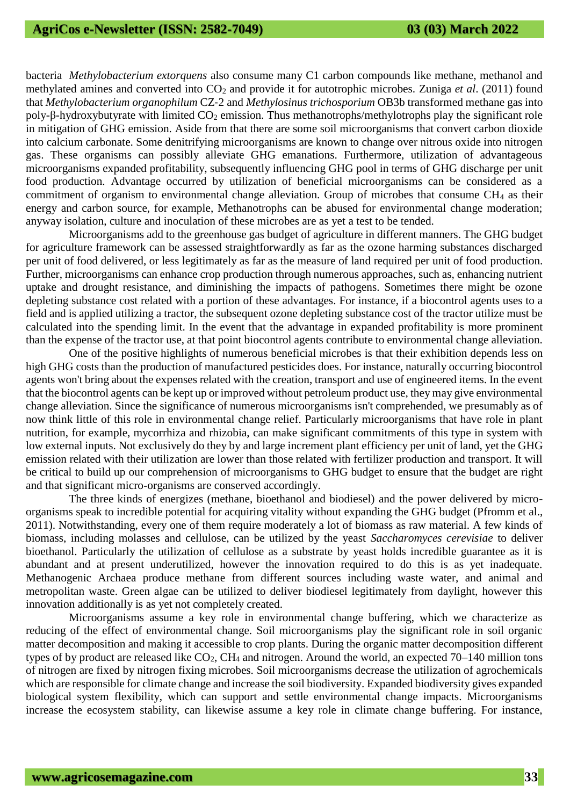bacteria *Methylobacterium extorquens* also consume many C1 carbon compounds like methane, methanol and methylated amines and converted into CO<sub>2</sub> and provide it for autotrophic microbes. Zuniga *et al.* (2011) found that *Methylobacterium organophilum* CZ‐2 and *Methylosinus trichosporium* OB3b transformed methane gas into poly-β-hydroxybutyrate with limited CO<sub>2</sub> emission. Thus methanotrophs/methylotrophs play the significant role in mitigation of GHG emission. Aside from that there are some soil microorganisms that convert carbon dioxide into calcium carbonate. Some denitrifying microorganisms are known to change over nitrous oxide into nitrogen gas. These organisms can possibly alleviate GHG emanations. Furthermore, utilization of advantageous microorganisms expanded profitability, subsequently influencing GHG pool in terms of GHG discharge per unit food production. Advantage occurred by utilization of beneficial microorganisms can be considered as a commitment of organism to environmental change alleviation. Group of microbes that consume  $CH_4$  as their energy and carbon source, for example, Methanotrophs can be abused for environmental change moderation; anyway isolation, culture and inoculation of these microbes are as yet a test to be tended.

Microorganisms add to the greenhouse gas budget of agriculture in different manners. The GHG budget for agriculture framework can be assessed straightforwardly as far as the ozone harming substances discharged per unit of food delivered, or less legitimately as far as the measure of land required per unit of food production. Further, microorganisms can enhance crop production through numerous approaches, such as, enhancing nutrient uptake and drought resistance, and diminishing the impacts of pathogens. Sometimes there might be ozone depleting substance cost related with a portion of these advantages. For instance, if a biocontrol agents uses to a field and is applied utilizing a tractor, the subsequent ozone depleting substance cost of the tractor utilize must be calculated into the spending limit. In the event that the advantage in expanded profitability is more prominent than the expense of the tractor use, at that point biocontrol agents contribute to environmental change alleviation.

One of the positive highlights of numerous beneficial microbes is that their exhibition depends less on high GHG costs than the production of manufactured pesticides does. For instance, naturally occurring biocontrol agents won't bring about the expenses related with the creation, transport and use of engineered items. In the event that the biocontrol agents can be kept up or improved without petroleum product use, they may give environmental change alleviation. Since the significance of numerous microorganisms isn't comprehended, we presumably as of now think little of this role in environmental change relief. Particularly microorganisms that have role in plant nutrition, for example, mycorrhiza and rhizobia, can make significant commitments of this type in system with low external inputs. Not exclusively do they by and large increment plant efficiency per unit of land, yet the GHG emission related with their utilization are lower than those related with fertilizer production and transport. It will be critical to build up our comprehension of microorganisms to GHG budget to ensure that the budget are right and that significant micro-organisms are conserved accordingly.

The three kinds of energizes (methane, bioethanol and biodiesel) and the power delivered by microorganisms speak to incredible potential for acquiring vitality without expanding the GHG budget (Pfromm et al., 2011). Notwithstanding, every one of them require moderately a lot of biomass as raw material. A few kinds of biomass, including molasses and cellulose, can be utilized by the yeast *Saccharomyces cerevisiae* to deliver bioethanol. Particularly the utilization of cellulose as a substrate by yeast holds incredible guarantee as it is abundant and at present underutilized, however the innovation required to do this is as yet inadequate. Methanogenic Archaea produce methane from different sources including waste water, and animal and metropolitan waste. Green algae can be utilized to deliver biodiesel legitimately from daylight, however this innovation additionally is as yet not completely created.

Microorganisms assume a key role in environmental change buffering, which we characterize as reducing of the effect of environmental change. Soil microorganisms play the significant role in soil organic matter decomposition and making it accessible to crop plants. During the organic matter decomposition different types of by product are released like  $CO<sub>2</sub>$ , CH<sub>4</sub> and nitrogen. Around the world, an expected 70–140 million tons of nitrogen are fixed by nitrogen fixing microbes. Soil microorganisms decrease the utilization of agrochemicals which are responsible for climate change and increase the soil biodiversity. Expanded biodiversity gives expanded biological system flexibility, which can support and settle environmental change impacts. Microorganisms increase the ecosystem stability, can likewise assume a key role in climate change buffering. For instance,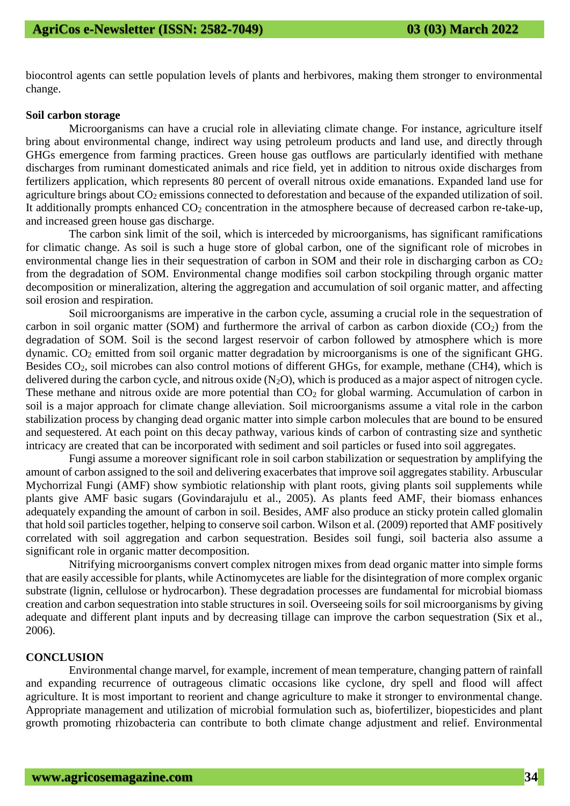biocontrol agents can settle population levels of plants and herbivores, making them stronger to environmental change.

#### **Soil carbon storage**

Microorganisms can have a crucial role in alleviating climate change. For instance, agriculture itself bring about environmental change, indirect way using petroleum products and land use, and directly through GHGs emergence from farming practices. Green house gas outflows are particularly identified with methane discharges from ruminant domesticated animals and rice field, yet in addition to nitrous oxide discharges from fertilizers application, which represents 80 percent of overall nitrous oxide emanations. Expanded land use for agriculture brings about  $CO_2$  emissions connected to deforestation and because of the expanded utilization of soil. It additionally prompts enhanced  $CO<sub>2</sub>$  concentration in the atmosphere because of decreased carbon re-take-up, and increased green house gas discharge.

The carbon sink limit of the soil, which is interceded by microorganisms, has significant ramifications for climatic change. As soil is such a huge store of global carbon, one of the significant role of microbes in environmental change lies in their sequestration of carbon in SOM and their role in discharging carbon as  $CO<sub>2</sub>$ from the degradation of SOM. Environmental change modifies soil carbon stockpiling through organic matter decomposition or mineralization, altering the aggregation and accumulation of soil organic matter, and affecting soil erosion and respiration.

Soil microorganisms are imperative in the carbon cycle, assuming a crucial role in the sequestration of carbon in soil organic matter (SOM) and furthermore the arrival of carbon as carbon dioxide  $(CO<sub>2</sub>)$  from the degradation of SOM. Soil is the second largest reservoir of carbon followed by atmosphere which is more dynamic. CO<sup>2</sup> emitted from soil organic matter degradation by microorganisms is one of the significant GHG. Besides CO<sub>2</sub>, soil microbes can also control motions of different GHGs, for example, methane (CH4), which is delivered during the carbon cycle, and nitrous oxide  $(N_2O)$ , which is produced as a major aspect of nitrogen cycle. These methane and nitrous oxide are more potential than  $CO<sub>2</sub>$  for global warming. Accumulation of carbon in soil is a major approach for climate change alleviation. Soil microorganisms assume a vital role in the carbon stabilization process by changing dead organic matter into simple carbon molecules that are bound to be ensured and sequestered. At each point on this decay pathway, various kinds of carbon of contrasting size and synthetic intricacy are created that can be incorporated with sediment and soil particles or fused into soil aggregates.

Fungi assume a moreover significant role in soil carbon stabilization or sequestration by amplifying the amount of carbon assigned to the soil and delivering exacerbates that improve soil aggregates stability. Arbuscular Mychorrizal Fungi (AMF) show symbiotic relationship with plant roots, giving plants soil supplements while plants give AMF basic sugars (Govindarajulu et al., 2005). As plants feed AMF, their biomass enhances adequately expanding the amount of carbon in soil. Besides, AMF also produce an sticky protein called glomalin that hold soil particles together, helping to conserve soil carbon. Wilson et al. (2009) reported that AMF positively correlated with soil aggregation and carbon sequestration. Besides soil fungi, soil bacteria also assume a significant role in organic matter decomposition.

Nitrifying microorganisms convert complex nitrogen mixes from dead organic matter into simple forms that are easily accessible for plants, while Actinomycetes are liable for the disintegration of more complex organic substrate (lignin, cellulose or hydrocarbon). These degradation processes are fundamental for microbial biomass creation and carbon sequestration into stable structures in soil. Overseeing soils for soil microorganisms by giving adequate and different plant inputs and by decreasing tillage can improve the carbon sequestration (Six et al., 2006).

# **CONCLUSION**

Environmental change marvel, for example, increment of mean temperature, changing pattern of rainfall and expanding recurrence of outrageous climatic occasions like cyclone, dry spell and flood will affect agriculture. It is most important to reorient and change agriculture to make it stronger to environmental change. Appropriate management and utilization of microbial formulation such as, biofertilizer, biopesticides and plant growth promoting rhizobacteria can contribute to both climate change adjustment and relief. Environmental